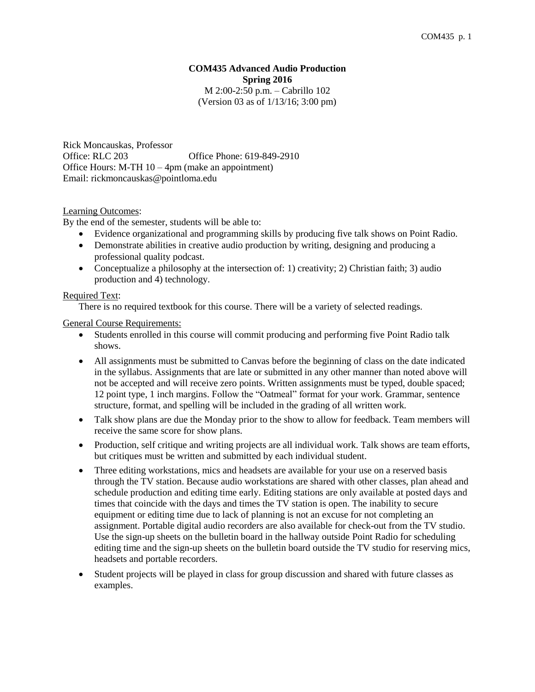## **COM435 Advanced Audio Production Spring 2016** M 2:00-2:50 p.m. – Cabrillo 102 (Version 03 as of 1/13/16; 3:00 pm)

Rick Moncauskas, Professor Office: RLC 203 Office Phone: 619-849-2910 Office Hours: M-TH 10 – 4pm (make an appointment) Email: rickmoncauskas@pointloma.edu

# Learning Outcomes:

By the end of the semester, students will be able to:

- Evidence organizational and programming skills by producing five talk shows on Point Radio.
- Demonstrate abilities in creative audio production by writing, designing and producing a professional quality podcast.
- Conceptualize a philosophy at the intersection of: 1) creativity; 2) Christian faith; 3) audio production and 4) technology.

# Required Text:

There is no required textbook for this course. There will be a variety of selected readings.

General Course Requirements:

- Students enrolled in this course will commit producing and performing five Point Radio talk shows.
- All assignments must be submitted to Canvas before the beginning of class on the date indicated in the syllabus. Assignments that are late or submitted in any other manner than noted above will not be accepted and will receive zero points. Written assignments must be typed, double spaced; 12 point type, 1 inch margins. Follow the "Oatmeal" format for your work. Grammar, sentence structure, format, and spelling will be included in the grading of all written work.
- Talk show plans are due the Monday prior to the show to allow for feedback. Team members will receive the same score for show plans.
- Production, self critique and writing projects are all individual work. Talk shows are team efforts, but critiques must be written and submitted by each individual student.
- Three editing workstations, mics and headsets are available for your use on a reserved basis through the TV station. Because audio workstations are shared with other classes, plan ahead and schedule production and editing time early. Editing stations are only available at posted days and times that coincide with the days and times the TV station is open. The inability to secure equipment or editing time due to lack of planning is not an excuse for not completing an assignment. Portable digital audio recorders are also available for check-out from the TV studio. Use the sign-up sheets on the bulletin board in the hallway outside Point Radio for scheduling editing time and the sign-up sheets on the bulletin board outside the TV studio for reserving mics, headsets and portable recorders.
- Student projects will be played in class for group discussion and shared with future classes as examples.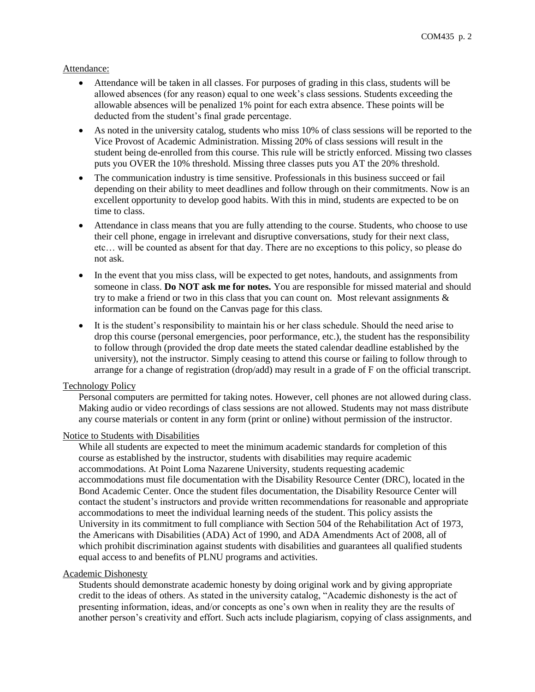# Attendance:

- Attendance will be taken in all classes. For purposes of grading in this class, students will be allowed absences (for any reason) equal to one week's class sessions. Students exceeding the allowable absences will be penalized 1% point for each extra absence. These points will be deducted from the student's final grade percentage.
- As noted in the university catalog, students who miss 10% of class sessions will be reported to the Vice Provost of Academic Administration. Missing 20% of class sessions will result in the student being de-enrolled from this course. This rule will be strictly enforced. Missing two classes puts you OVER the 10% threshold. Missing three classes puts you AT the 20% threshold.
- The communication industry is time sensitive. Professionals in this business succeed or fail depending on their ability to meet deadlines and follow through on their commitments. Now is an excellent opportunity to develop good habits. With this in mind, students are expected to be on time to class.
- Attendance in class means that you are fully attending to the course. Students, who choose to use their cell phone, engage in irrelevant and disruptive conversations, study for their next class, etc… will be counted as absent for that day. There are no exceptions to this policy, so please do not ask.
- In the event that you miss class, will be expected to get notes, handouts, and assignments from someone in class. **Do NOT ask me for notes.** You are responsible for missed material and should try to make a friend or two in this class that you can count on. Most relevant assignments  $\&$ information can be found on the Canvas page for this class.
- It is the student's responsibility to maintain his or her class schedule. Should the need arise to drop this course (personal emergencies, poor performance, etc.), the student has the responsibility to follow through (provided the drop date meets the stated calendar deadline established by the university), not the instructor. Simply ceasing to attend this course or failing to follow through to arrange for a change of registration (drop/add) may result in a grade of F on the official transcript.

### Technology Policy

Personal computers are permitted for taking notes. However, cell phones are not allowed during class. Making audio or video recordings of class sessions are not allowed. Students may not mass distribute any course materials or content in any form (print or online) without permission of the instructor.

### Notice to Students with Disabilities

While all students are expected to meet the minimum academic standards for completion of this course as established by the instructor, students with disabilities may require academic accommodations. At Point Loma Nazarene University, students requesting academic accommodations must file documentation with the Disability Resource Center (DRC), located in the Bond Academic Center. Once the student files documentation, the Disability Resource Center will contact the student's instructors and provide written recommendations for reasonable and appropriate accommodations to meet the individual learning needs of the student. This policy assists the University in its commitment to full compliance with Section 504 of the Rehabilitation Act of 1973, the Americans with Disabilities (ADA) Act of 1990, and ADA Amendments Act of 2008, all of which prohibit discrimination against students with disabilities and guarantees all qualified students equal access to and benefits of PLNU programs and activities.

### Academic Dishonesty

Students should demonstrate academic honesty by doing original work and by giving appropriate credit to the ideas of others. As stated in the university catalog, "Academic dishonesty is the act of presenting information, ideas, and/or concepts as one's own when in reality they are the results of another person's creativity and effort. Such acts include plagiarism, copying of class assignments, and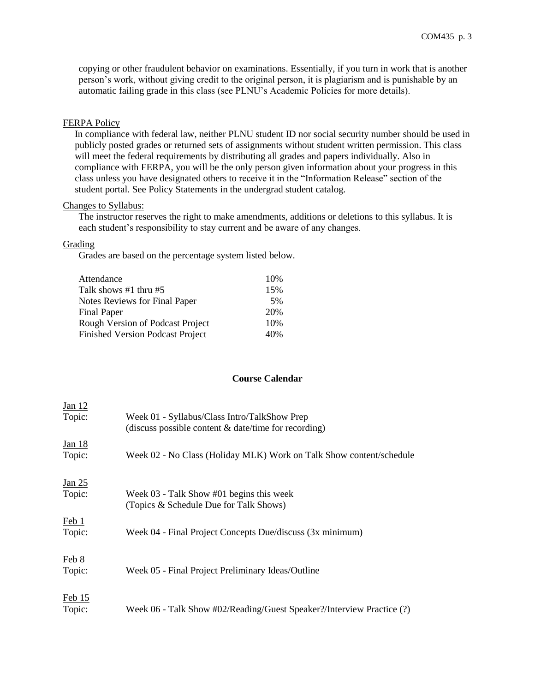copying or other fraudulent behavior on examinations. Essentially, if you turn in work that is another person's work, without giving credit to the original person, it is plagiarism and is punishable by an automatic failing grade in this class (see PLNU's Academic Policies for more details).

## FERPA Policy

In compliance with federal law, neither PLNU student ID nor social security number should be used in publicly posted grades or returned sets of assignments without student written permission. This class will meet the federal requirements by distributing all grades and papers individually. Also in compliance with FERPA, you will be the only person given information about your progress in this class unless you have designated others to receive it in the "Information Release" section of the student portal. See Policy Statements in the undergrad student catalog.

#### Changes to Syllabus:

The instructor reserves the right to make amendments, additions or deletions to this syllabus. It is each student's responsibility to stay current and be aware of any changes.

#### Grading

Grades are based on the percentage system listed below.

| Attendance                              | 10% |
|-----------------------------------------|-----|
| Talk shows $#1$ thru $#5$               | 15% |
| Notes Reviews for Final Paper           | .5% |
| Final Paper                             | 20% |
| Rough Version of Podcast Project        | 10% |
| <b>Finished Version Podcast Project</b> | 40% |

#### **Course Calendar**

| Jan 12        |                                                                       |
|---------------|-----------------------------------------------------------------------|
| Topic:        | Week 01 - Syllabus/Class Intro/TalkShow Prep                          |
|               | (discuss possible content $&$ date/time for recording)                |
| <u>Jan 18</u> |                                                                       |
| Topic:        | Week 02 - No Class (Holiday MLK) Work on Talk Show content/schedule   |
|               |                                                                       |
| <u>Jan 25</u> |                                                                       |
| Topic:        | Week 03 - Talk Show #01 begins this week                              |
|               | (Topics & Schedule Due for Talk Shows)                                |
| Feb1          |                                                                       |
| Topic:        | Week 04 - Final Project Concepts Due/discuss (3x minimum)             |
|               |                                                                       |
| Feb 8         |                                                                       |
| Topic:        | Week 05 - Final Project Preliminary Ideas/Outline                     |
|               |                                                                       |
| Feb15         |                                                                       |
| Topic:        | Week 06 - Talk Show #02/Reading/Guest Speaker?/Interview Practice (?) |